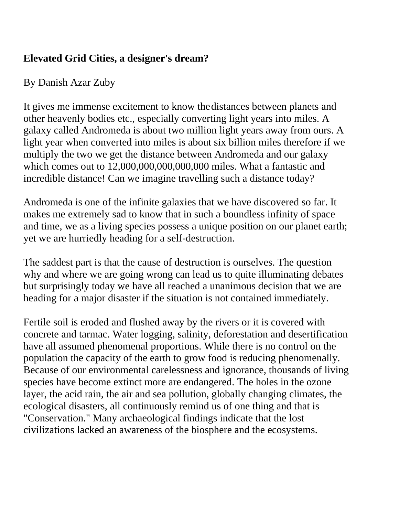## **Elevated Grid Cities, a designer's dream?**

## By Danish Azar Zuby

It gives me immense excitement to know the distances between planets and other heavenly bodies etc., especially converting light years into miles. A galaxy called Andromeda is about two million light years away from ours. A light year when converted into miles is about six billion miles therefore if we multiply the two we get the distance between Andromeda and our galaxy which comes out to 12,000,000,000,000,000 miles. What a fantastic and incredible distance! Can we imagine travelling such a distance today?

Andromeda is one of the infinite galaxies that we have discovered so far. It makes me extremely sad to know that in such a boundless infinity of space and time, we as a living species possess a unique position on our planet earth; yet we are hurriedly heading for a self-destruction.

The saddest part is that the cause of destruction is ourselves. The question why and where we are going wrong can lead us to quite illuminating debates but surprisingly today we have all reached a unanimous decision that we are heading for a major disaster if the situation is not contained immediately.

Fertile soil is eroded and flushed away by the rivers or it is covered with concrete and tarmac. Water logging, salinity, deforestation and desertification have all assumed phenomenal proportions. While there is no control on the population the capacity of the earth to grow food is reducing phenomenally. Because of our environmental carelessness and ignorance, thousands of living species have become extinct more are endangered. The holes in the ozone layer, the acid rain, the air and sea pollution, globally changing climates, the ecological disasters, all continuously remind us of one thing and that is "Conservation." Many archaeological findings indicate that the lost civilizations lacked an awareness of the biosphere and the ecosystems.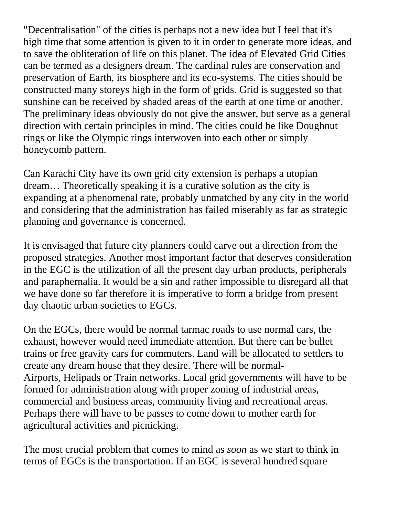"Decentralisation" of the cities is perhaps not a new idea but I feel that it's high time that some attention is given to it in order to generate more ideas, and to save the obliteration of life on this planet. The idea of Elevated Grid Cities can be termed as a designers dream. The cardinal rules are conservation and preservation of Earth, its biosphere and its eco-systems. The cities should be constructed many storeys high in the form of grids. Grid is suggested so that sunshine can be received by shaded areas of the earth at one time or another. The preliminary ideas obviously do not give the answer, but serve as a general direction with certain principles in mind. The cities could be like Doughnut rings or like the Olympic rings interwoven into each other or simply honeycomb pattern.

Can Karachi City have its own grid city extension is perhaps a utopian dream… Theoretically speaking it is a curative solution as the city is expanding at a phenomenal rate, probably unmatched by any city in the world and considering that the administration has failed miserably as far as strategic planning and governance is concerned.

It is envisaged that future city planners could carve out a direction from the proposed strategies. Another most important factor that deserves consideration in the EGC is the utilization of all the present day urban products, peripherals and paraphernalia. It would be a sin and rather impossible to disregard all that we have done so far therefore it is imperative to form a bridge from present day chaotic urban societies to EGCs.

On the EGCs, there would be normal tarmac roads to use normal cars, the exhaust, however would need immediate attention. But there can be bullet trains or free gravity cars for commuters. Land will be allocated to settlers to create any dream house that they desire. There will be normal-Airports, Helipads or Train networks. Local grid governments will have to be formed for administration along with proper zoning of industrial areas, commercial and business areas, community living and recreational areas. Perhaps there will have to be passes to come down to mother earth for agricultural activities and picnicking.

The most crucial problem that comes to mind as *soon* as we start to think in terms of EGCs is the transportation. If an EGC is several hundred square